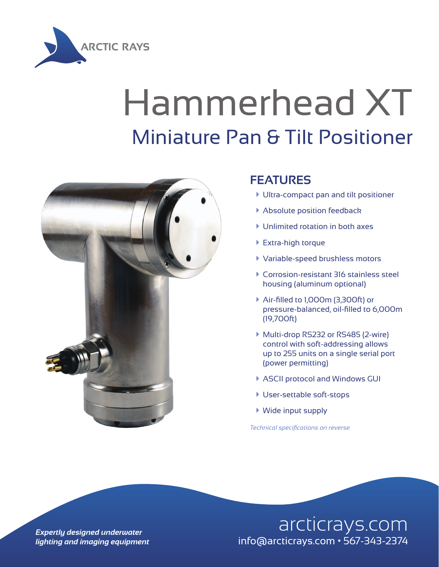

## Hammerhead XT Miniature Pan & Tilt Positioner



## **FEATURES**

- à Ultra-compact pan and tilt positioner
- **Absolute position feedback**
- $\blacktriangleright$  Unlimited rotation in both axes
- ▶ Extra-high torque
- à Variable-speed brushless motors
- à Corrosion-resistant 316 stainless steel housing (aluminum optional)
- ▶ Air-filled to 1,000m (3,300ft) or pressure-balanced, oil-filled to 6,000m (19,700ft)
- ▶ Multi-drop RS232 or RS485 (2-wire) control with soft-addressing allows up to 255 units on a single serial port (power permitting)
- ▶ ASCII protocol and Windows GUI
- **User-settable soft-stops**
- $\blacktriangleright$  Wide input supply

*Technical specifications on reverse*

## **Expertly designed underwater** and arcticrays.com *lighting and imaging equipment* info@arcticrays.com • 567-343-2374